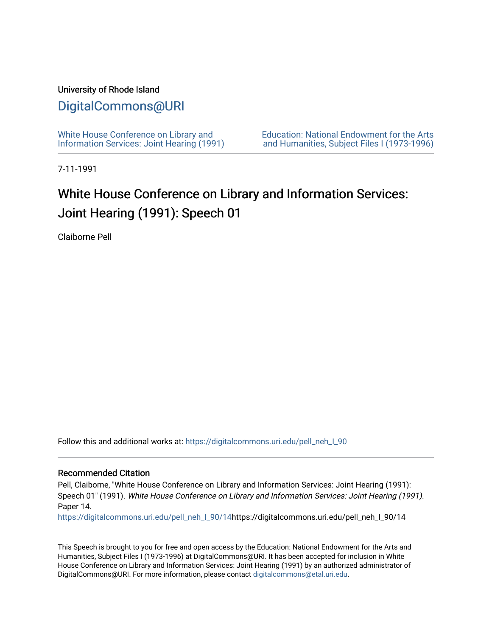### University of Rhode Island

## [DigitalCommons@URI](https://digitalcommons.uri.edu/)

[White House Conference on Library and](https://digitalcommons.uri.edu/pell_neh_I_90) [Information Services: Joint Hearing \(1991\)](https://digitalcommons.uri.edu/pell_neh_I_90) [Education: National Endowment for the Arts](https://digitalcommons.uri.edu/pell_neh_I)  [and Humanities, Subject Files I \(1973-1996\)](https://digitalcommons.uri.edu/pell_neh_I) 

7-11-1991

# White House Conference on Library and Information Services: Joint Hearing (1991): Speech 01

Claiborne Pell

Follow this and additional works at: [https://digitalcommons.uri.edu/pell\\_neh\\_I\\_90](https://digitalcommons.uri.edu/pell_neh_I_90?utm_source=digitalcommons.uri.edu%2Fpell_neh_I_90%2F14&utm_medium=PDF&utm_campaign=PDFCoverPages) 

#### Recommended Citation

Pell, Claiborne, "White House Conference on Library and Information Services: Joint Hearing (1991): Speech 01" (1991). White House Conference on Library and Information Services: Joint Hearing (1991). Paper 14.

[https://digitalcommons.uri.edu/pell\\_neh\\_I\\_90/14h](https://digitalcommons.uri.edu/pell_neh_I_90/14?utm_source=digitalcommons.uri.edu%2Fpell_neh_I_90%2F14&utm_medium=PDF&utm_campaign=PDFCoverPages)ttps://digitalcommons.uri.edu/pell\_neh\_I\_90/14

This Speech is brought to you for free and open access by the Education: National Endowment for the Arts and Humanities, Subject Files I (1973-1996) at DigitalCommons@URI. It has been accepted for inclusion in White House Conference on Library and Information Services: Joint Hearing (1991) by an authorized administrator of DigitalCommons@URI. For more information, please contact [digitalcommons@etal.uri.edu.](mailto:digitalcommons@etal.uri.edu)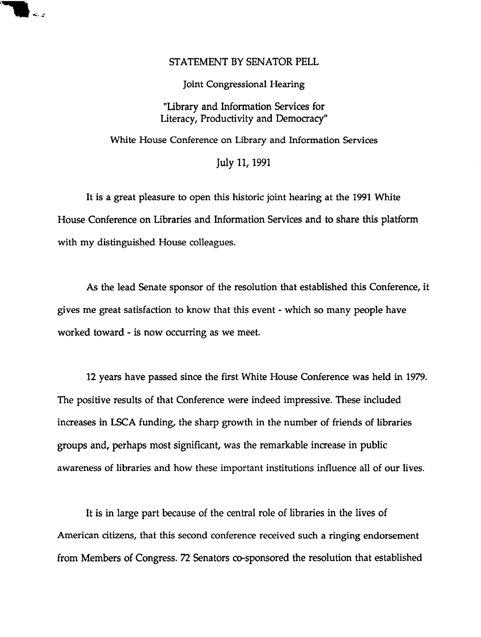### STATEMENT BY SENATOR PELL

....

Joint Congressional Hearing

"Library and Information Services for Literacy, Productivity and Democracy"

White House Conference on Library and Information Services

July 11, 1991

It is a great pleasure to open this historic joint hearing at the 1991 White House Conference on Libraries and Information Services and to share this platform with my distinguished House colleagues.

As the lead Senate sponsor of the resolution that established this Conference, it gives me great satisfaction to know that this event - which so many people have worked toward - is now occurring as we meet.

12 years have passed since the first White House Conference was held in 1979. The positive results of that Conference were indeed impressive. These included increases in LSCA funding, the sharp growth in the number of friends of libraries groups and, perhaps most significant, was the remarkable increase in public awareness of libraries and how these important institutions influence all of our lives.

It is in large part because of the central role of libraries in the lives of American citizens, that this second conference received such a ringing endorsement from Members of Congress. 72 Senators co-sponsored the resolution that established